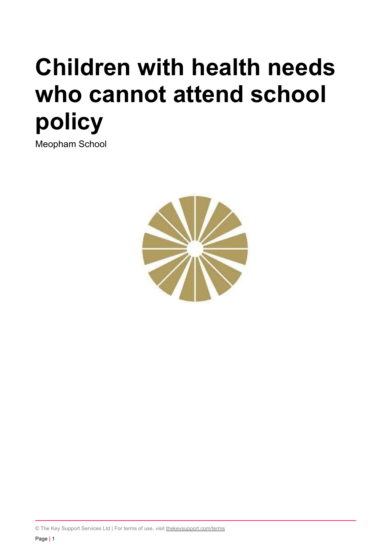# **Children with health needs who cannot attend school policy**

Meopham School



© The Key Support Services Ltd | For terms of use, visit [thekeysupport.com/terms](https://thekeysupport.com/terms-of-use)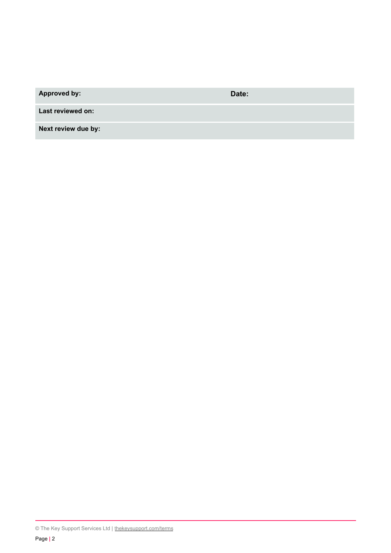**Approved by: Date:**

**Last reviewed on:**

**Next review due by:**

<sup>©</sup> The Key Support Services Ltd | [thekeysupport.com/terms](https://thekeysupport.com/terms-of-use)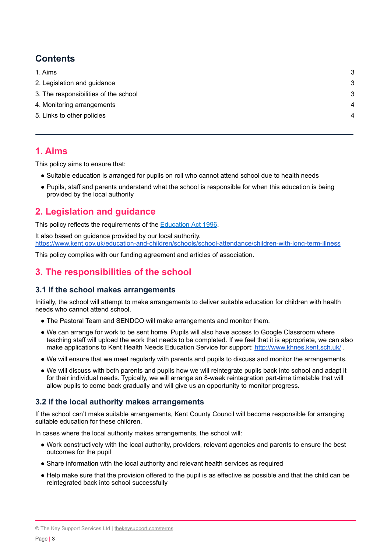## **Contents**

| 1. Aims                               | 3 |
|---------------------------------------|---|
| 2. Legislation and guidance           | 3 |
| 3. The responsibilities of the school | 3 |
| 4. Monitoring arrangements            | 4 |
| 5. Links to other policies            | 4 |
|                                       |   |

### <span id="page-2-0"></span>**1. Aims**

This policy aims to ensure that:

- Suitable education is arranged for pupils on roll who cannot attend school due to health needs
- <span id="page-2-1"></span>● Pupils, staff and parents understand what the school is responsible for when this education is being provided by the local authority

## **2. Legislation and guidance**

This policy reflects the requirements of the [Education](http://www.legislation.gov.uk/ukpga/1996/56/section/19) Act 1996.

It also based on guidance provided by our local authority. <https://www.kent.gov.uk/education-and-children/schools/school-attendance/children-with-long-term-illness>

<span id="page-2-2"></span>This policy complies with our funding agreement and articles of association.

## **3. The responsibilities of the school**

#### **3.1 If the school makes arrangements**

Initially, the school will attempt to make arrangements to deliver suitable education for children with health needs who cannot attend school.

- The Pastoral Team and SENDCO will make arrangements and monitor them.
- We can arrange for work to be sent home. Pupils will also have access to Google Classroom where teaching staff will upload the work that needs to be completed. If we feel that it is appropriate, we can also make applications to Kent Health Needs Education Service for support: <http://www.khnes.kent.sch.uk/>
- We will ensure that we meet regularly with parents and pupils to discuss and monitor the arrangements.
- We will discuss with both parents and pupils how we will reintegrate pupils back into school and adapt it for their individual needs. Typically, we will arrange an 8-week reintegration part-time timetable that will allow pupils to come back gradually and will give us an opportunity to monitor progress.

#### **3.2 If the local authority makes arrangements**

If the school can't make suitable arrangements, Kent County Council will become responsible for arranging suitable education for these children.

In cases where the local authority makes arrangements, the school will:

- Work constructively with the local authority, providers, relevant agencies and parents to ensure the best outcomes for the pupil
- Share information with the local authority and relevant health services as required
- Help make sure that the provision offered to the pupil is as effective as possible and that the child can be reintegrated back into school successfully

<sup>©</sup> The Key Support Services Ltd | [thekeysupport.com/terms](https://thekeysupport.com/terms-of-use)